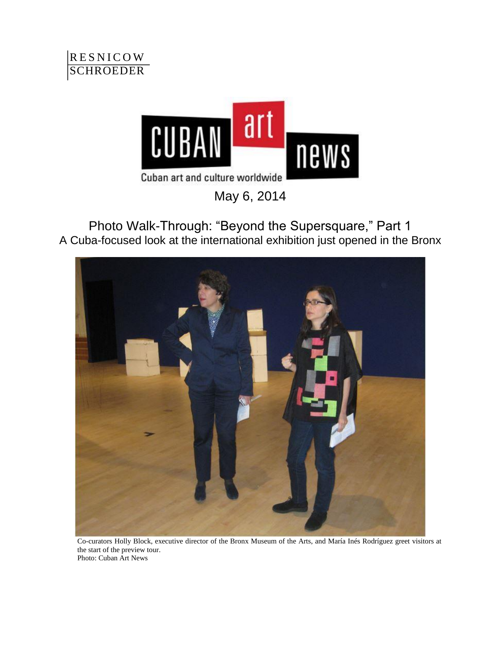



May 6, 2014

Photo Walk-Through: "Beyond the Supersquare," Part 1 A Cuba-focused look at the international exhibition just opened in the Bronx



Co-curators Holly Block, executive director of the Bronx Museum of the Arts, and María Inés Rodríguez greet visitors at the start of the preview tour. Photo: Cuban Art News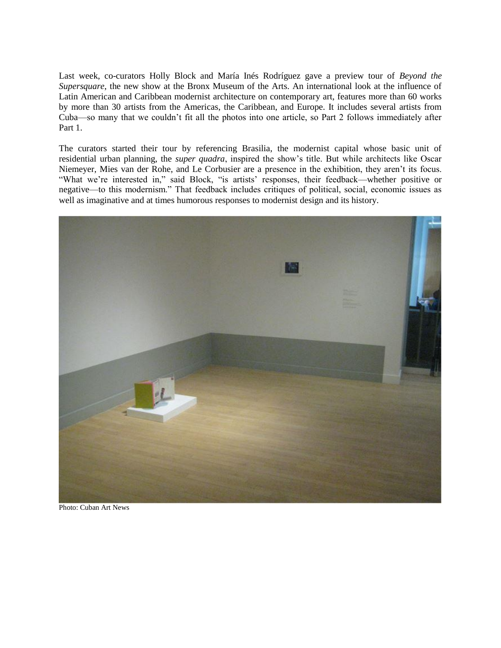Last week, co-curators Holly Block and María Inés Rodríguez gave a preview tour of *Beyond the Supersquare*, the new show at the Bronx Museum of the Arts. An international look at the influence of Latin American and Caribbean modernist architecture on contemporary art, features more than 60 works by more than 30 artists from the Americas, the Caribbean, and Europe. It includes several artists from Cuba—so many that we couldn't fit all the photos into one article, so Part 2 follows immediately after Part 1.

The curators started their tour by referencing Brasilia, the modernist capital whose basic unit of residential urban planning, the *super quadra*, inspired the show's title. But while architects like Oscar Niemeyer, Mies van der Rohe, and Le Corbusier are a presence in the exhibition, they aren't its focus. "What we're interested in," said Block, "is artists' responses, their feedback—whether positive or negative—to this modernism." That feedback includes critiques of political, social, economic issues as well as imaginative and at times humorous responses to modernist design and its history.



Photo: Cuban Art News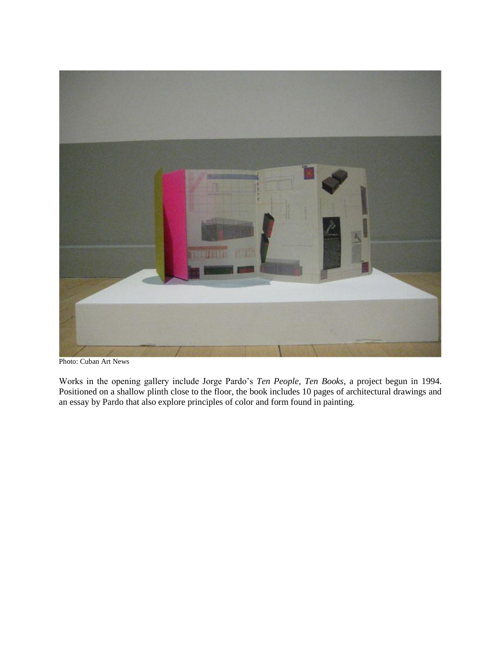

Photo: Cuban Art News

Works in the opening gallery include Jorge Pardo's *Ten People, Ten Books*, a project begun in 1994. Positioned on a shallow plinth close to the floor, the book includes 10 pages of architectural drawings and an essay by Pardo that also explore principles of color and form found in painting.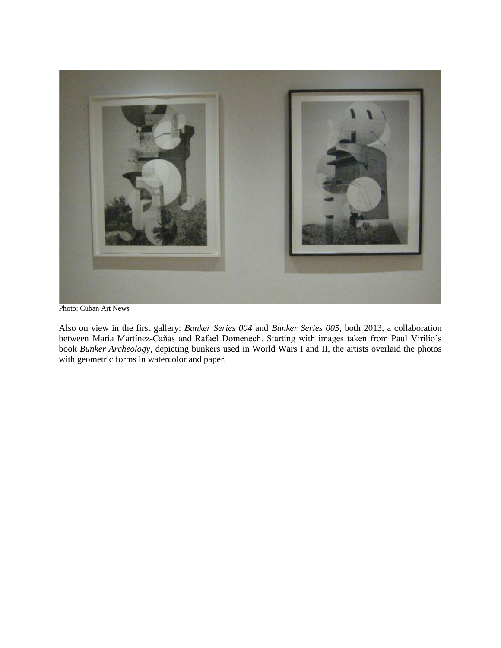

Photo: Cuban Art News

Also on view in the first gallery: *Bunker Series 004* and *Bunker Series 005*, both 2013, a collaboration between Maria Martínez-Cañas and Rafael Domenech. Starting with images taken from Paul Virilio's book *Bunker Archeology*, depicting bunkers used in World Wars I and II, the artists overlaid the photos with geometric forms in watercolor and paper.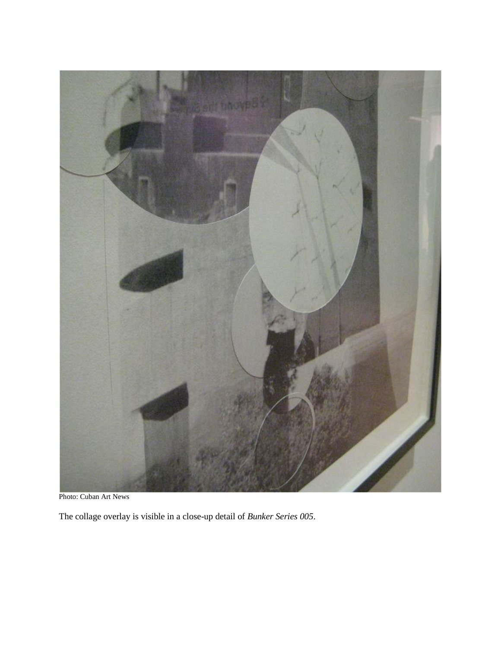

Photo: Cuban Art News

The collage overlay is visible in a close-up detail of *Bunker Series 005*.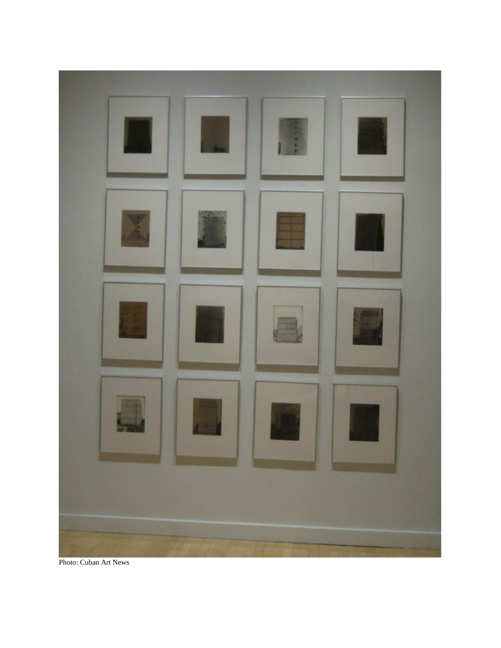

Photo: Cuban Art News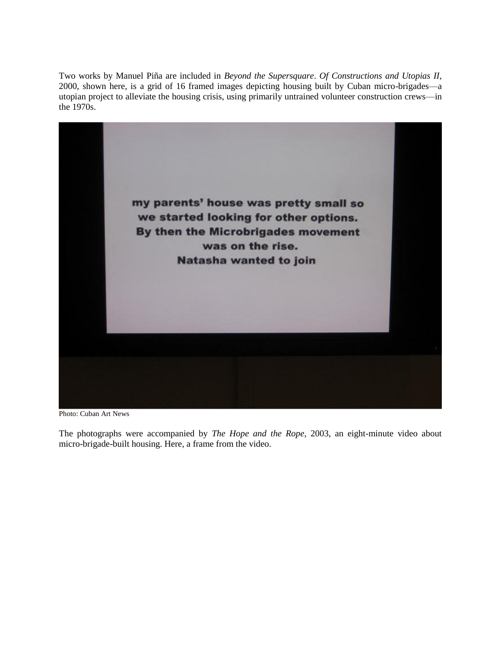Two works by Manuel Piña are included in *Beyond the Supersquare*. *Of Constructions and Utopias II*, 2000, shown here, is a grid of 16 framed images depicting housing built by Cuban micro-brigades—a utopian project to alleviate the housing crisis, using primarily untrained volunteer construction crews—in the 1970s.



Photo: Cuban Art News

The photographs were accompanied by *The Hope and the Rope*, 2003, an eight-minute video about micro-brigade-built housing. Here, a frame from the video.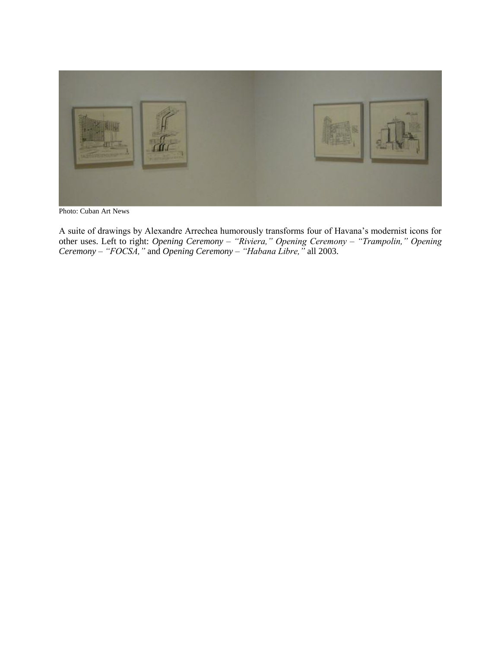

Photo: Cuban Art News

A suite of drawings by Alexandre Arrechea humorously transforms four of Havana's modernist icons for other uses. Left to right: *Opening Ceremony – "Riviera," Opening Ceremony – "Trampolin," Opening Ceremony – "FOCSA,"* and *Opening Ceremony – "Habana Libre,"* all 2003.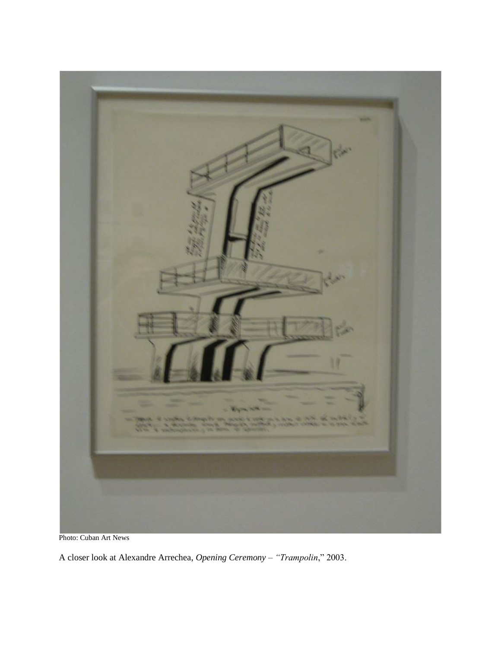

Photo: Cuban Art News

A closer look at Alexandre Arrechea, *Opening Ceremony – "Trampolin*," 2003.